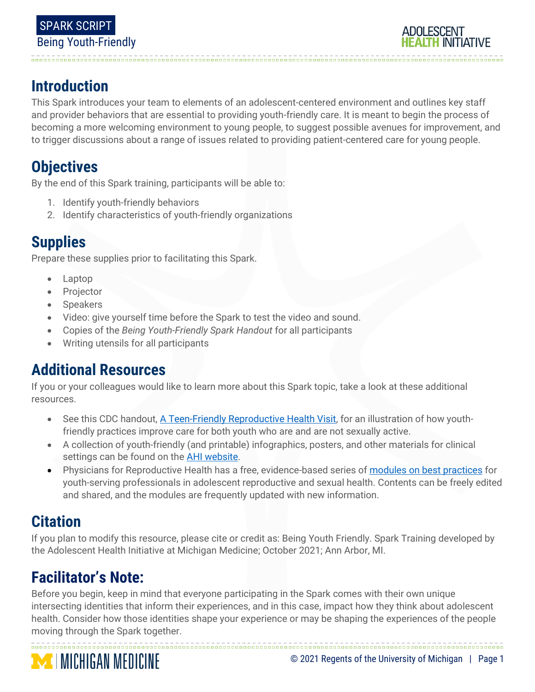

# **Introduction**

This Spark introduces your team to elements of an adolescent-centered environment and outlines key staff and provider behaviors that are essential to providing youth-friendly care. It is meant to begin the process of becoming a more welcoming environment to young people, to suggest possible avenues for improvement, and to trigger discussions about a range of issues related to providing patient-centered care for young people.

## **Objectives**

By the end of this Spark training, participants will be able to:

- 1. Identify youth-friendly behaviors
- 2. Identify characteristics of youth-friendly organizations

## **Supplies**

Prepare these supplies prior to facilitating this Spark.

- Laptop
- Projector
- **Speakers**
- Video: give yourself time before the Spark to test the video and sound.
- Copies of the *Being Youth-Friendly Spark Handout* for all participants
- Writing utensils for all participants

## **Additional Resources**

If you or your colleagues would like to learn more about this Spark topic, take a look at these additional resources.

- See this CDC handout, [A Teen-Friendly Reproductive Health Visit,](https://www.cdc.gov/teenpregnancy/health-care-providers/teen-friendly-health-visit.htm) for an illustration of how youthfriendly practices improve care for both youth who are and are not sexually active.
- A collection of youth-friendly (and printable) infographics, posters, and other materials for clinical settings can be found on the **AHI website**.
- Physicians for Reproductive Health has a free, evidence-based series of [modules on best practices](https://prh.org/arshep-ppts/#sexual-health) for youth-serving professionals in adolescent reproductive and sexual health. Contents can be freely edited and shared, and the modules are frequently updated with new information.

# **Citation**

If you plan to modify this resource, please cite or credit as: Being Youth Friendly. Spark Training developed by the Adolescent Health Initiative at Michigan Medicine; October 2021; Ann Arbor, MI.

# **Facilitator's Note:**

Before you begin, keep in mind that everyone participating in the Spark comes with their own unique intersecting identities that inform their experiences, and in this case, impact how they think about adolescent health. Consider how those identities shape your experience or may be shaping the experiences of the people moving through the Spark together.

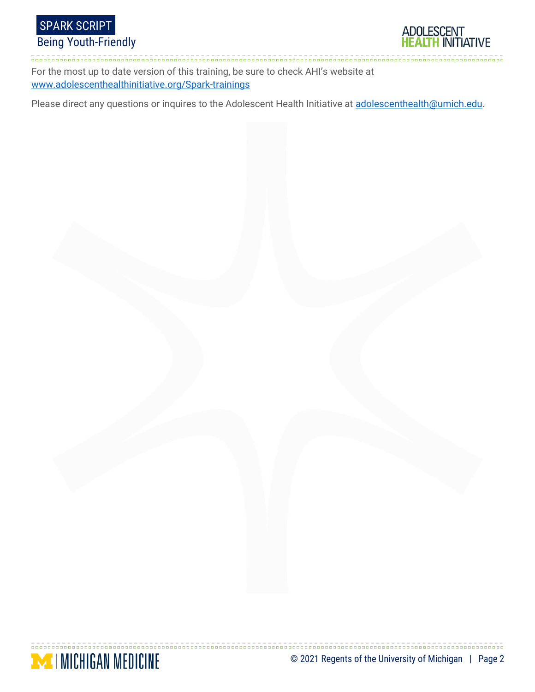



For the most up to date version of this training, be sure to check AHI's website at [www.adolescenthealthinitiative.org/Spark-trainings](http://www.adolescenthealthinitiative.org/Spark-trainings)

Please direct any questions or inquires to the Adolescent Health Initiative at [adolescenthealth@umich.edu.](mailto:adolescenthealth@umich.edu)

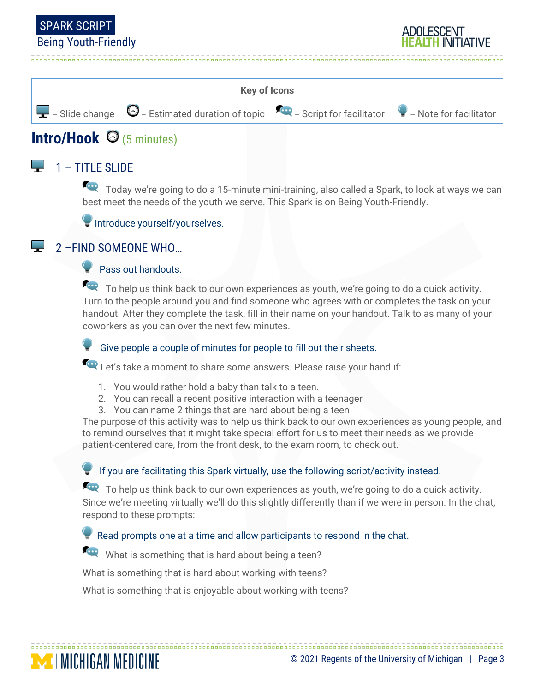



# **Intro/Hook** (5 minutes)

### $\Box$  1 – TITLE SLIDE

Today we're going to do a 15-minute mini-training, also called a Spark, to look at ways we can best meet the needs of the youth we serve. This Spark is on Being Youth-Friendly.

Introduce yourself/yourselves.

#### 2 –FIND SOMEONE WHO…

**MINICHIGAN MEDICINE** 

#### Pass out handouts.

To help us think back to our own experiences as youth, we're going to do a quick activity. Turn to the people around you and find someone who agrees with or completes the task on your handout. After they complete the task, fill in their name on your handout. Talk to as many of your coworkers as you can over the next few minutes.

Give people a couple of minutes for people to fill out their sheets.

Let's take a moment to share some answers. Please raise your hand if:

- 1. You would rather hold a baby than talk to a teen.
- 2. You can recall a recent positive interaction with a teenager
- 3. You can name 2 things that are hard about being a teen

The purpose of this activity was to help us think back to our own experiences as young people, and to remind ourselves that it might take special effort for us to meet their needs as we provide patient-centered care, from the front desk, to the exam room, to check out.

If you are facilitating this Spark virtually, use the following script/activity instead.

To help us think back to our own experiences as youth, we're going to do a quick activity. Since we're meeting virtually we'll do this slightly differently than if we were in person. In the chat, respond to these prompts:

Read prompts one at a time and allow participants to respond in the chat.

What is something that is hard about being a teen?

What is something that is hard about working with teens?

What is something that is enjoyable about working with teens?

ADULESCENT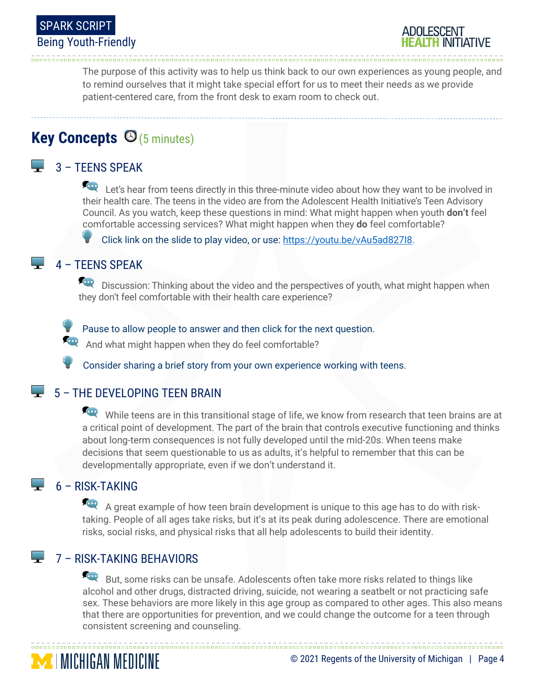



The purpose of this activity was to help us think back to our own experiences as young people, and to remind ourselves that it might take special effort for us to meet their needs as we provide patient-centered care, from the front desk to exam room to check out.

## **Key Concepts ©**(5 minutes)

### $\Box$  3 – TFFNS SPFAK

Let's hear from teens directly in this three-minute video about how they want to be involved in their health care. The teens in the video are from the Adolescent Health Initiative's Teen Advisory Council. As you watch, keep these questions in mind: What might happen when youth **don't** feel comfortable accessing services? What might happen when they **do** feel comfortable?

Click link on the slide to play video, or use: https://youtu.be/vAu5ad82718.

#### $\overline{4}$  – TEENS SPEAK

Discussion: Thinking about the video and the perspectives of youth, what might happen when they don't feel comfortable with their health care experience?

Pause to allow people to answer and then click for the next question.

And what might happen when they do feel comfortable?

Consider sharing a brief story from your own experience working with teens.

#### $\overline{5}$  – THE DEVELOPING TEEN BRAIN

While teens are in this transitional stage of life, we know from research that teen brains are at a critical point of development. The part of the brain that controls executive functioning and thinks about long-term consequences is not fully developed until the mid-20s. When teens make decisions that seem questionable to us as adults, it's helpful to remember that this can be developmentally appropriate, even if we don't understand it.

### $\overline{\phantom{a}}$  6 – RISK-TAKING

**MICHIGAN MEDICINE** 

A great example of how teen brain development is unique to this age has to do with risktaking. People of all ages take risks, but it's at its peak during adolescence. There are emotional risks, social risks, and physical risks that all help adolescents to build their identity.

### **7 – RISK-TAKING BEHAVIORS**

But, some risks can be unsafe. Adolescents often take more risks related to things like alcohol and other drugs, distracted driving, suicide, not wearing a seatbelt or not practicing safe sex. These behaviors are more likely in this age group as compared to other ages. This also means that there are opportunities for prevention, and we could change the outcome for a teen through consistent screening and counseling.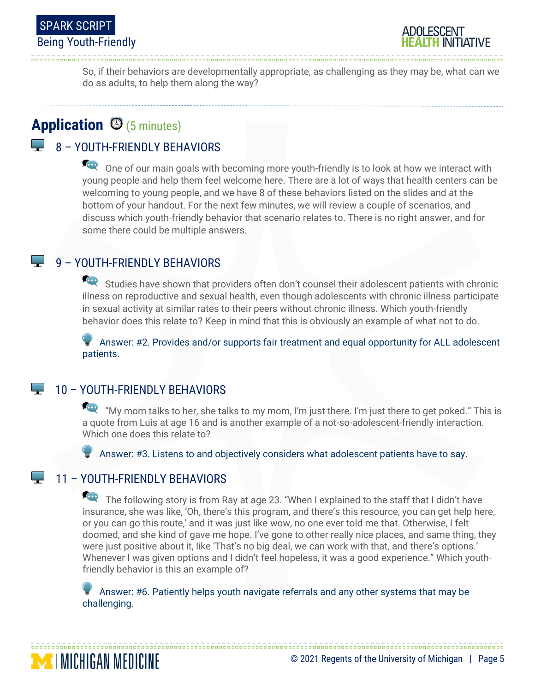



So, if their behaviors are developmentally appropriate, as challenging as they may be, what can we do as adults, to help them along the way?

## **Application** (5 minutes)

### 8 – YOUTH-FRIENDLY BEHAVIORS

One of our main goals with becoming more youth-friendly is to look at how we interact with young people and help them feel welcome here. There are a lot of ways that health centers can be welcoming to young people, and we have 8 of these behaviors listed on the slides and at the bottom of your handout. For the next few minutes, we will review a couple of scenarios, and discuss which youth-friendly behavior that scenario relates to. There is no right answer, and for some there could be multiple answers.

#### 9 – YOUTH-FRIENDLY BEHAVIORS

Studies have shown that providers often don't counsel their adolescent patients with chronic illness on reproductive and sexual health, even though adolescents with chronic illness participate in sexual activity at similar rates to their peers without chronic illness. Which youth-friendly behavior does this relate to? Keep in mind that this is obviously an example of what not to do.

 Answer: #2. Provides and/or supports fair treatment and equal opportunity for ALL adolescent patients.

#### 10 – YOUTH-FRIENDLY BEHAVIORS

"My mom talks to her, she talks to my mom, I'm just there. I'm just there to get poked." This is a quote from Luis at age 16 and is another example of a not-so-adolescent-friendly interaction. Which one does this relate to?

Answer: #3. Listens to and objectively considers what adolescent patients have to say.

### $\Box$  11 – YOUTH-FRIENDLY BEHAVIORS

**MICHIGAN MEDICINE** 

The following story is from Ray at age 23. "When I explained to the staff that I didn't have insurance, she was like, 'Oh, there's this program, and there's this resource, you can get help here, or you can go this route,' and it was just like wow, no one ever told me that. Otherwise, I felt doomed, and she kind of gave me hope. I've gone to other really nice places, and same thing, they were just positive about it, like 'That's no big deal, we can work with that, and there's options.' Whenever I was given options and I didn't feel hopeless, it was a good experience." Which youthfriendly behavior is this an example of?

© 2021 Regents of the University of Michigan | Page 5

 Answer: #6. Patiently helps youth navigate referrals and any other systems that may be challenging.